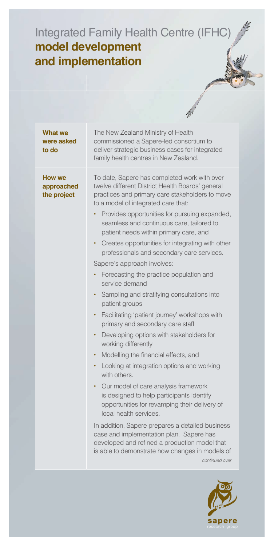## Integrated Family Health Centre (IFHC) **model development and implementation**

|                                            | $\mathcal{W}^{\prime}$                                                                                                                                                                                                                                                                                                                                                                                                                                                                                                                                                                                                                                                                                                                                                                                                                                                                                                                                                                                                                                                                                                                                                                                                                                                                                        |
|--------------------------------------------|---------------------------------------------------------------------------------------------------------------------------------------------------------------------------------------------------------------------------------------------------------------------------------------------------------------------------------------------------------------------------------------------------------------------------------------------------------------------------------------------------------------------------------------------------------------------------------------------------------------------------------------------------------------------------------------------------------------------------------------------------------------------------------------------------------------------------------------------------------------------------------------------------------------------------------------------------------------------------------------------------------------------------------------------------------------------------------------------------------------------------------------------------------------------------------------------------------------------------------------------------------------------------------------------------------------|
| What we<br>were asked<br>to do             | The New Zealand Ministry of Health<br>commissioned a Sapere-led consortium to<br>deliver strategic business cases for integrated<br>family health centres in New Zealand.                                                                                                                                                                                                                                                                                                                                                                                                                                                                                                                                                                                                                                                                                                                                                                                                                                                                                                                                                                                                                                                                                                                                     |
| <b>How we</b><br>approached<br>the project | To date, Sapere has completed work with over<br>twelve different District Health Boards' general<br>practices and primary care stakeholders to move<br>to a model of integrated care that:<br>Provides opportunities for pursuing expanded,<br>$\bullet$<br>seamless and continuous care, tailored to<br>patient needs within primary care, and<br>Creates opportunities for integrating with other<br>٠<br>professionals and secondary care services.<br>Sapere's approach involves:<br>Forecasting the practice population and<br>service demand<br>Sampling and stratifying consultations into<br>٠<br>patient groups<br>Facilitating 'patient journey' workshops with<br>$\bullet$<br>primary and secondary care staff<br>Developing options with stakeholders for<br>٠<br>working differently<br>Modelling the financial effects, and<br>٠<br>Looking at integration options and working<br>٠<br>with others.<br>Our model of care analysis framework<br>٠<br>is designed to help participants identify<br>opportunities for revamping their delivery of<br>local health services.<br>In addition, Sapere prepares a detailed business<br>case and implementation plan. Sapere has<br>developed and refined a production model that<br>is able to demonstrate how changes in models of<br>continued over |
|                                            |                                                                                                                                                                                                                                                                                                                                                                                                                                                                                                                                                                                                                                                                                                                                                                                                                                                                                                                                                                                                                                                                                                                                                                                                                                                                                                               |